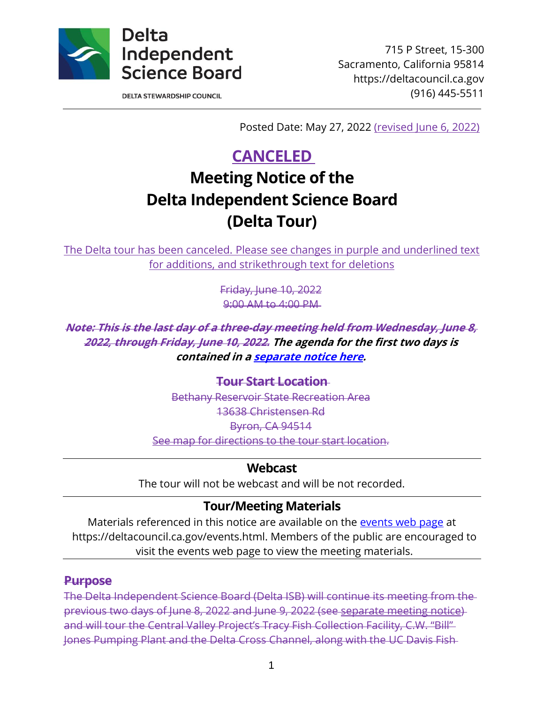

715 P Street, 15-300 Sacramento, California 95814 https://deltacouncil.ca.gov (916) 445-5511

**DELTA STEWARDSHIP COUNCIL** 

Posted Date: May 27, 2022 (revised June 6, 2022)

# **CANCELED**

# **Meeting Notice of the Delta Independent Science Board (Delta Tour)**

The Delta tour has been canceled. Please see changes in purple and underlined text for additions, and strikethrough text for deletions

> Friday, June 10, 2022 9:00 AM to 4:00 PM

**Note: This is the last day of a three-day meeting held from Wednesday, June 8, 2022, through Friday, June 10, 2022. The agenda for the first two days is contained in [a separate notice here.](https://deltacouncil.ca.gov/pdf/isb/meeting-notice/2022-05-27-isb-meeting-notice.pdf)**

> **Tour Start Location** Bethany Reservoir State Recreation Area 13638 Christensen Rd Byron, CA 94514 [See map for directions to the tour start location.](https://www.google.com/maps/place/Bethany+Reservoir+State+Recreation+Area/@37.7829387,-121.6191937,17z/data=!3m1!4b1!4m5!3m4!1s0x80901e43d4820b11:0x7b75ef8642f21fa!8m2!3d37.7829387!4d-121.617005)

## **Webcast**

The tour will not be webcast and will be not recorded.

# **Tour/Meeting Materials**

Materials referenced in this notice are available on the [events web page](https://deltacouncil.ca.gov/events.html) at https://deltacouncil.ca.gov/events.html. Members of the public are encouraged to visit the events web page to view the meeting materials.

## **Purpose**

The Delta Independent Science Board (Delta ISB) will continue its meeting from the previous two days of June 8, 2022 and June 9, 2022 (see separate [meeting notice\)](https://deltacouncil.ca.gov/pdf/isb/meeting-notice/2022-05-27-isb-meeting-notice.pdf) and will tour the Central Valley Project's Tracy Fish Collection Facility, C.W. "Bill" Jones Pumping Plant and the Delta Cross Channel, along with the UC Davis Fish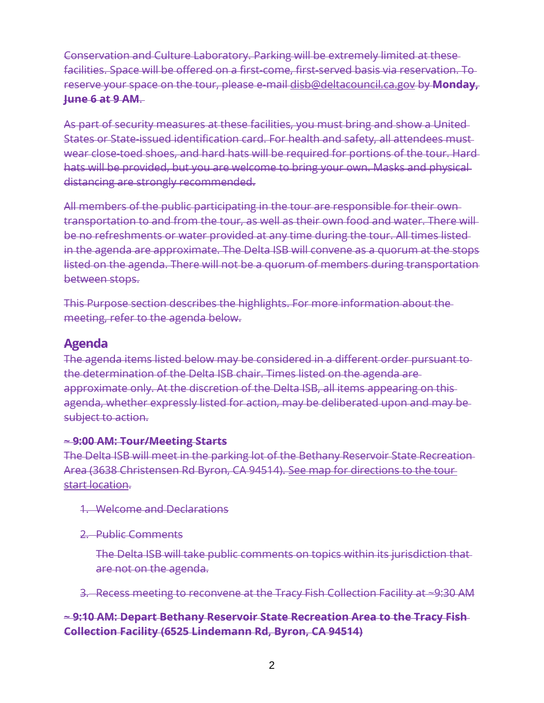Conservation and Culture Laboratory. Parking will be extremely limited at these facilities. Space will be offered on a first-come, first-served basis via reservation. To reserve your space on the tour, please e-mail [disb@deltacouncil.ca.gov](mailto:disb@deltacouncil.ca.gov) by **Monday, June 6 at 9 AM**.

As part of security measures at these facilities, you must bring and show a United States or State-issued identification card. For health and safety, all attendees must wear close-toed shoes, and hard hats will be required for portions of the tour. Hard hats will be provided, but you are welcome to bring your own. Masks and physical distancing are strongly recommended.

All members of the public participating in the tour are responsible for their own transportation to and from the tour, as well as their own food and water. There will be no refreshments or water provided at any time during the tour. All times listed in the agenda are approximate. The Delta ISB will convene as a quorum at the stops listed on the agenda. There will not be a quorum of members during transportation between stops.

This Purpose section describes the highlights. For more information about the meeting, refer to the agenda below.

## **Agenda**

The agenda items listed below may be considered in a different order pursuant to the determination of the Delta ISB chair. Times listed on the agenda are approximate only. At the discretion of the Delta ISB, all items appearing on this agenda, whether expressly listed for action, may be deliberated upon and may be subject to action.

#### **~ 9:00 AM: Tour/Meeting Starts**

The Delta ISB will meet in the parking lot of the Bethany Reservoir State Recreation Area (3638 Christensen Rd Byron, CA 94514). [See map for directions to the tour](https://www.google.com/maps/place/Bethany+Reservoir+State+Recreation+Area/@37.7829387,-121.6191937,17z/data=!3m1!4b1!4m5!3m4!1s0x80901e43d4820b11:0x7b75ef8642f21fa!8m2!3d37.7829387!4d-121.617005)  [start location.](https://www.google.com/maps/place/Bethany+Reservoir+State+Recreation+Area/@37.7829387,-121.6191937,17z/data=!3m1!4b1!4m5!3m4!1s0x80901e43d4820b11:0x7b75ef8642f21fa!8m2!3d37.7829387!4d-121.617005)

- 1. Welcome and Declarations
- 2. Public Comments

The Delta ISB will take public comments on topics within its jurisdiction that are not on the agenda.

3. Recess meeting to reconvene at the Tracy Fish Collection Facility at ~9:30 AM

## **~ 9:10 AM: Depart Bethany Reservoir State Recreation Area to the Tracy Fish Collection Facility (6525 Lindemann Rd, Byron, CA 94514)**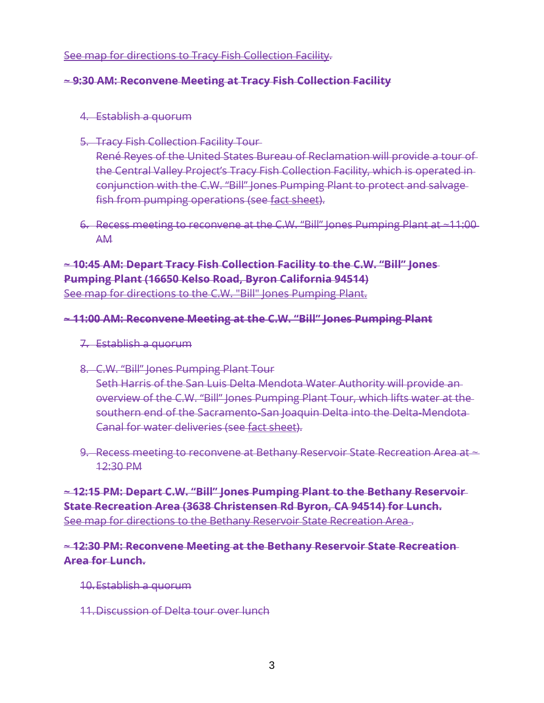#### [See map for directions to Tracy Fish Collection Facility.](https://www.google.com/maps/place/6525+Lindemann+Rd,+Byron,+CA+94514/@37.815909,-121.5633909,17z/data=!3m1!4b1!4m5!3m4!1s0x80901c3de79a561d:0x90b9333c77243640!8m2!3d37.815909!4d-121.5612022?authuser=0)

#### **~ 9:30 AM: Reconvene Meeting at Tracy Fish Collection Facility**

- 4. Establish a quorum
- 5. Tracy Fish Collection Facility Tour

René Reyes of the United States Bureau of Reclamation will provide a tour of the Central Valley Project's Tracy Fish Collection Facility, which is operated in conjunction with the C.W. "Bill" Jones Pumping Plant to protect and salvage fish from pumping operations (see [fact sheet\)](https://www.usbr.gov/mp/mpr-news/docs/factsheets/jones-pumping-plant.pdf).

6. Recess meeting to reconvene at the C.W. "Bill" Jones Pumping Plant at ~11:00 AM

## **~ 10:45 AM: Depart Tracy Fish Collection Facility to the C.W. "Bill" Jones Pumping Plant (16650 Kelso Road, Byron California 94514)** [See map for directions to the C.W. "Bill" Jones Pumping](https://www.google.com/maps/place/16650+Kelso+Rd,+Byron,+CA+94514/@37.7948342,-121.5836637,17z/data=!3m1!4b1!4m5!3m4!1s0x80901e8050764c61:0xaa61e4924a501568!8m2!3d37.7948342!4d-121.5836637?authuser=0) Plant.

#### **~ 11:00 AM: Reconvene Meeting at the C.W. "Bill" Jones Pumping Plant**

- 7. Establish a quorum
- 8. C.W. "Bill" Jones Pumping Plant Tour Seth Harris of the San Luis Delta Mendota Water Authority will provide an overview of the C.W. "Bill" Jones Pumping Plant Tour, which lifts water at the southern end of the Sacramento-San Joaquin Delta into the Delta-Mendota Canal for water deliveries (see [fact sheet\)](https://www.usbr.gov/mp/mpr-news/docs/factsheets/jones-pumping-plant.pdf).
- 9. Recess meeting to reconvene at Bethany Reservoir State Recreation Area at  $\sim$ 12:30 PM

**~ 12:15 PM: Depart C.W. "Bill" Jones Pumping Plant to the Bethany Reservoir State Recreation Area (3638 Christensen Rd Byron, CA 94514) for Lunch.** [See map for directions to the Bethany Reservoir State Recreation Area .](https://www.google.com/maps/place/Bethany+Reservoir+State+Recreation+Area/@37.7829387,-121.6191937,17z/data=!3m1!4b1!4m5!3m4!1s0x80901e43d4820b11:0x7b75ef8642f21fa!8m2!3d37.7829387!4d-121.617005)

#### **~ 12:30 PM: Reconvene Meeting at the Bethany Reservoir State Recreation Area for Lunch.**

- 10.Establish a quorum
- 11.Discussion of Delta tour over lunch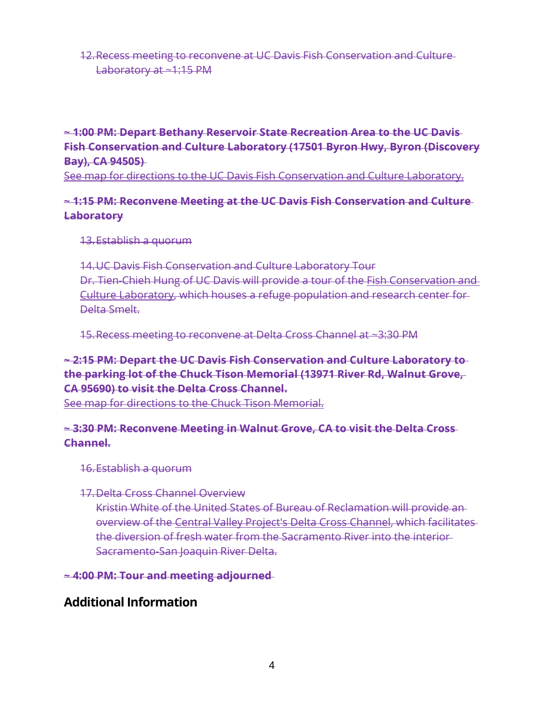#### 12.Recess meeting to reconvene at UC Davis Fish Conservation and Culture Laboratory at ~1:15 PM

## **~ 1:00 PM: Depart Bethany Reservoir State Recreation Area to the UC Davis Fish Conservation and Culture Laboratory (17501 Byron Hwy, Byron (Discovery Bay), CA 94505)**

[See map for directions to the UC Davis Fish Conservation and Culture Laboratory.](https://www.google.com/maps/place/UC+Davis+Fish+Conservation+and+Culture+Laboratory/@37.8242281,-121.5971131,17z/data=!4m13!1m7!3m6!1s0x80901da593ff0cb7:0x81ef2dd944e86914!2s17501+Byron+Hwy,+Discovery+Bay,+CA+94505!3b1!8m2!3d37.8242281!4d-121.5949244!3m4!1s0x80901da591424a5d:0xa5f040dcc8bc5937!8m2!3d37.8242646!4d-121.5951032)

### **~ 1:15 PM: Reconvene Meeting at the UC Davis Fish Conservation and Culture Laboratory**

13.Establish a quorum

14.UC Davis Fish Conservation and Culture Laboratory Tour Dr. Tien-Chieh Hung of UC Davis will provide a tour of the [Fish Conservation and](https://fccl.ucdavis.edu/)  [Culture Laboratory,](https://fccl.ucdavis.edu/) which houses a refuge population and research center for Delta Smelt.

15.Recess meeting to reconvene at Delta Cross Channel at ~3:30 PM

## **~ 2:15 PM: Depart the UC Davis Fish Conservation and Culture Laboratory to the parking lot of the Chuck Tison Memorial (13971 River Rd, Walnut Grove, CA 95690) to visit the Delta Cross Channel.**

[See map for directions to the Chuck Tison Memorial.](https://www.google.com/maps/place/Chuck+Tison+Memorial/@38.2477072,-121.5115354,16.92z/data=!4m13!1m7!3m6!1s0x809ab11209e38ca9:0xa5040fb64d4e8495!2s13971+River+Rd,+Walnut+Grove,+CA+95690!3b1!8m2!3d38.2477007!4d-121.5094995!3m4!1s0x809ab1bff73002f5:0x2ecfd6f124a9edbf!8m2!3d38.2471043!4d-121.5090252)

### **~ 3:30 PM: Reconvene Meeting in Walnut Grove, CA to visit the Delta Cross Channel.**

16.Establish a quorum

#### 17.Delta Cross Channel Overview

Kristin White of the United States of Bureau of Reclamation will provide an overview of the [Central Valley Project's Delta Cross Channel,](https://www.usbr.gov/mp/mpr-news/docs/factsheets/delta-cross-channel-canal.pdf) which facilitates the diversion of fresh water from the Sacramento River into the interior Sacramento-San Joaquin River Delta.

**~ 4:00 PM: Tour and meeting adjourned**

# **Additional Information**